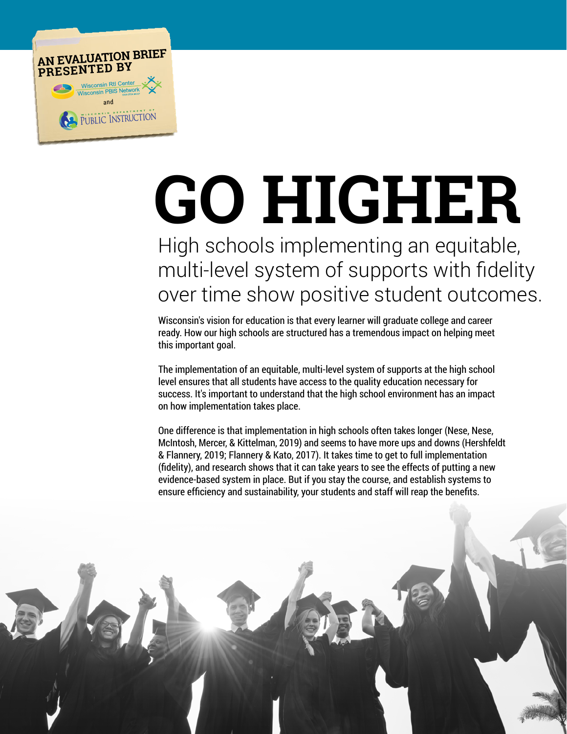

# **GO HIGHER**

# High schools implementing an equitable, multi-level system of supports with fidelity over time show positive student outcomes.

Wisconsin's vision for education is that every learner will graduate college and career ready. How our high schools are structured has a tremendous impact on helping meet this important goal.

The implementation of an equitable, multi-level system of supports at the high school level ensures that all students have access to the quality education necessary for success. It's important to understand that the high school environment has an impact on how implementation takes place.

One difference is that implementation in high schools often takes longer (Nese, Nese, McIntosh, Mercer, & Kittelman, 2019) and seems to have more ups and downs (Hershfeldt & Flannery, 2019; Flannery & Kato, 2017). It takes time to get to full implementation (fidelity), and research shows that it can take years to see the effects of putting a new evidence-based system in place. But if you stay the course, and establish systems to ensure efficiency and sustainability, your students and staff will reap the benefits.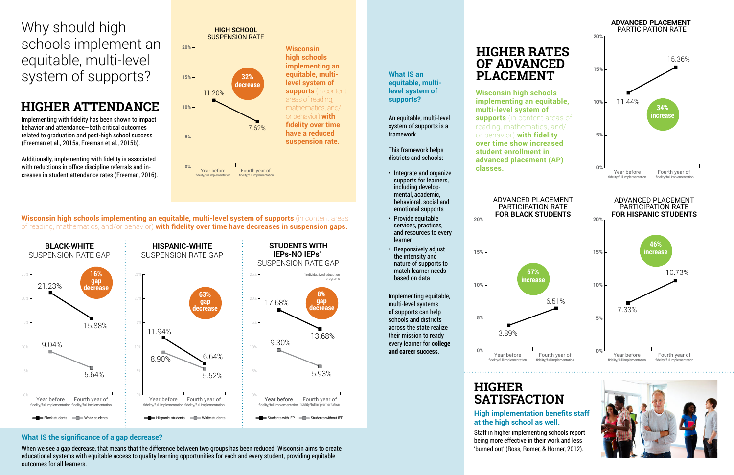Implementing with fidelity has been shown to impact behavior and attendance—both critical outcomes related to graduation and post-high school success (Freeman et al., 2015a, Freeman et al., 2015b).

Additionally, implementing with fidelity is associated with reductions in office discipline referrals and increases in student attendance rates (Freeman, 2016).

# **HIGHER ATTENDANCE**

**level system of supports?** 

An equitable, multi-level system of supports is a framework.

This framework helps districts and schools:

- Integrate and organize supports for learners, including developmental, academic, behavioral, social and emotional supports
- Provide equitable services, practices, and resources to every learner
- Responsively adjust the intensity and nature of supports to match learner needs based on data

**Wisconsin high schools implementing an equitable, multi-level system of supports (in content areas** of reading, mathematics, and/or behavior) **with fidelity over time have decreases in suspension gaps.**

> Implementing equitable, multi-level systems of supports can help schools and districts across the state realize their mission to ready every learner for **college and career success**.



Why should high schools implement an equitable, multi-level system of supports? **32%** 





#### **High implementation benefits staff at the high school as well.**

Staff in higher implementing schools report being more effective in their work and less 'burned out' (Ross, Romer, & Horner, 2012).



## **HIGHER SATISFACTION**

#### **What IS the significance of a gap decrease?**

When we see a gap decrease, that means that the difference between two groups has been reduced. Wisconsin aims to create educational systems with equitable access to quality learning opportunities for each and every student, providing equitable outcomes for all learners.